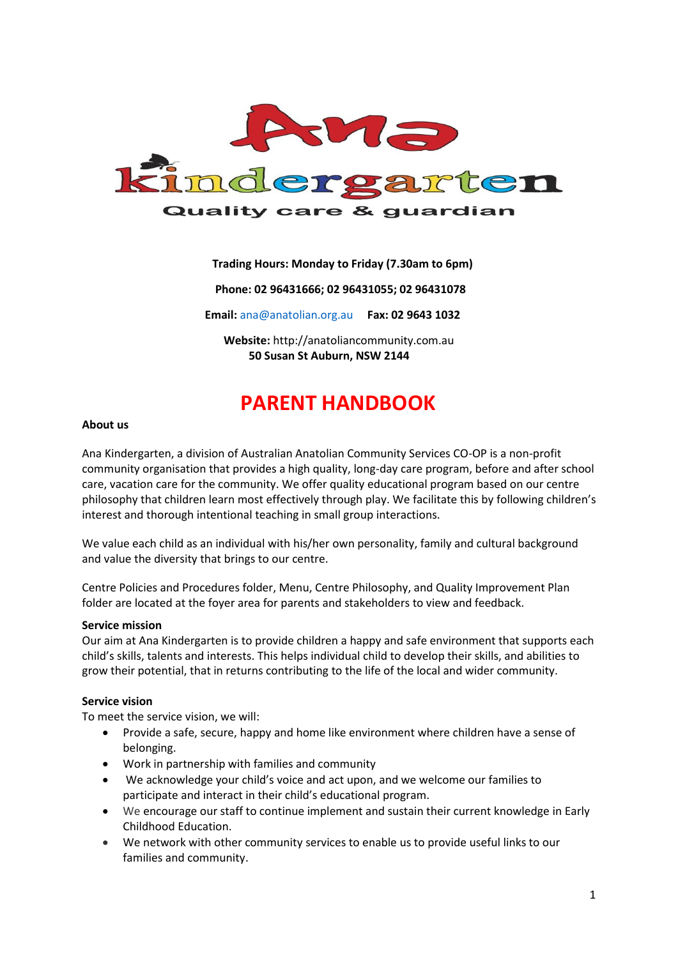

## **Trading Hours: Monday to Friday (7.30am to 6pm)**

 **Phone: 02 96431666; 02 96431055; 02 96431078**

**Email:** [ana@anatolian.org.au](mailto:ana@anatolian.org.au) **Fax: 02 9643 1032**

**Website:** [http://anatoliancommunity.com.au](http://anatoliancommunity.com.au/)  **50 Susan St Auburn, NSW 2144**

# **PARENT HANDBOOK**

#### **About us**

Ana Kindergarten, a division of Australian Anatolian Community Services CO-OP is a non-profit community organisation that provides a high quality, long-day care program, before and after school care, vacation care for the community. We offer quality educational program based on our centre philosophy that children learn most effectively through play. We facilitate this by following children's interest and thorough intentional teaching in small group interactions.

We value each child as an individual with his/her own personality, family and cultural background and value the diversity that brings to our centre.

Centre Policies and Procedures folder, Menu, Centre Philosophy, and Quality Improvement Plan folder are located at the foyer area for parents and stakeholders to view and feedback.

#### **Service mission**

Our aim at Ana Kindergarten is to provide children a happy and safe environment that supports each child's skills, talents and interests. This helps individual child to develop their skills, and abilities to grow their potential, that in returns contributing to the life of the local and wider community.

#### **Service vision**

To meet the service vision, we will:

- Provide a safe, secure, happy and home like environment where children have a sense of belonging.
- Work in partnership with families and community
- We acknowledge your child's voice and act upon, and we welcome our families to participate and interact in their child's educational program.
- We encourage our staff to continue implement and sustain their current knowledge in Early Childhood Education.
- We network with other community services to enable us to provide useful links to our families and community.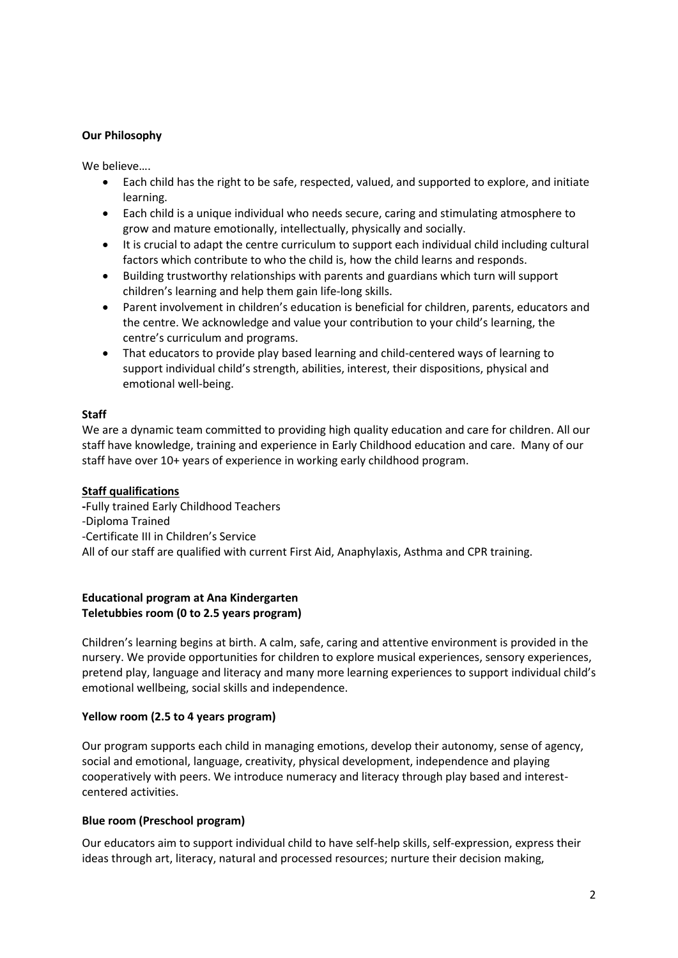## **Our Philosophy**

We believe….

- Each child has the right to be safe, respected, valued, and supported to explore, and initiate learning.
- Each child is a unique individual who needs secure, caring and stimulating atmosphere to grow and mature emotionally, intellectually, physically and socially.
- It is crucial to adapt the centre curriculum to support each individual child including cultural factors which contribute to who the child is, how the child learns and responds.
- Building trustworthy relationships with parents and guardians which turn will support children's learning and help them gain life-long skills.
- Parent involvement in children's education is beneficial for children, parents, educators and the centre. We acknowledge and value your contribution to your child's learning, the centre's curriculum and programs.
- That educators to provide play based learning and child-centered ways of learning to support individual child's strength, abilities, interest, their dispositions, physical and emotional well-being.

## **Staff**

We are a dynamic team committed to providing high quality education and care for children. All our staff have knowledge, training and experience in Early Childhood education and care. Many of our staff have over 10+ years of experience in working early childhood program.

## **Staff qualifications**

**-**Fully trained Early Childhood Teachers -Diploma Trained -Certificate III in Children's Service All of our staff are qualified with current First Aid, Anaphylaxis, Asthma and CPR training.

## **Educational program at Ana Kindergarten Teletubbies room (0 to 2.5 years program)**

Children's learning begins at birth. A calm, safe, caring and attentive environment is provided in the nursery. We provide opportunities for children to explore musical experiences, sensory experiences, pretend play, language and literacy and many more learning experiences to support individual child's emotional wellbeing, social skills and independence.

# **Yellow room (2.5 to 4 years program)**

Our program supports each child in managing emotions, develop their autonomy, sense of agency, social and emotional, language, creativity, physical development, independence and playing cooperatively with peers. We introduce numeracy and literacy through play based and interestcentered activities.

# **Blue room (Preschool program)**

Our educators aim to support individual child to have self-help skills, self-expression, express their ideas through art, literacy, natural and processed resources; nurture their decision making,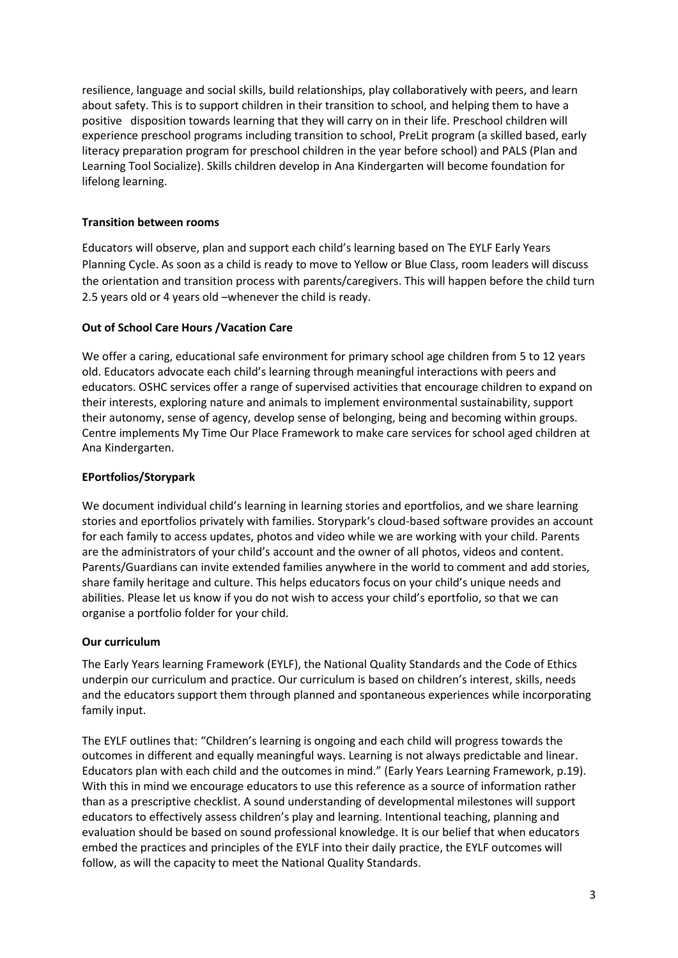resilience, language and social skills, build relationships, play collaboratively with peers, and learn about safety. This is to support children in their transition to school, and helping them to have a positive disposition towards learning that they will carry on in their life. Preschool children will experience preschool programs including transition to school, PreLit program (a skilled based, early literacy preparation program for preschool children in the year before school) and PALS (Plan and Learning Tool Socialize). Skills children develop in Ana Kindergarten will become foundation for lifelong learning.

# **Transition between rooms**

Educators will observe, plan and support each child's learning based on The EYLF Early Years Planning Cycle. As soon as a child is ready to move to Yellow or Blue Class, room leaders will discuss the orientation and transition process with parents/caregivers. This will happen before the child turn 2.5 years old or 4 years old –whenever the child is ready.

# **Out of School Care Hours /Vacation Care**

We offer a caring, educational safe environment for primary school age children from 5 to 12 years old. Educators advocate each child's learning through meaningful interactions with peers and educators. OSHC services offer a range of supervised activities that encourage children to expand on their interests, exploring nature and animals to implement environmental sustainability, support their autonomy, sense of agency, develop sense of belonging, being and becoming within groups. Centre implements My Time Our Place Framework to make care services for school aged children at Ana Kindergarten.

# **EPortfolios/Storypark**

We document individual child's learning in learning stories and eportfolios, and we share learning stories and eportfolios privately with families. Storypark's cloud-based software provides an account for each family to access updates, photos and video while we are working with your child. Parents are the administrators of your child's account and the owner of all photos, videos and content. Parents/Guardians can invite extended families anywhere in the world to comment and add stories, share family heritage and culture. This helps educators focus on your child's unique needs and abilities. Please let us know if you do not wish to access your child's eportfolio, so that we can organise a portfolio folder for your child.

# **Our curriculum**

The Early Years learning Framework (EYLF), the National Quality Standards and the Code of Ethics underpin our curriculum and practice. Our curriculum is based on children's interest, skills, needs and the educators support them through planned and spontaneous experiences while incorporating family input.

The EYLF outlines that: "Children's learning is ongoing and each child will progress towards the outcomes in different and equally meaningful ways. Learning is not always predictable and linear. Educators plan with each child and the outcomes in mind." (Early Years Learning Framework, p.19). With this in mind we encourage educators to use this reference as a source of information rather than as a prescriptive checklist. A sound understanding of developmental milestones will support educators to effectively assess children's play and learning. Intentional teaching, planning and evaluation should be based on sound professional knowledge. It is our belief that when educators embed the practices and principles of the EYLF into their daily practice, the EYLF outcomes will follow, as will the capacity to meet the National Quality Standards.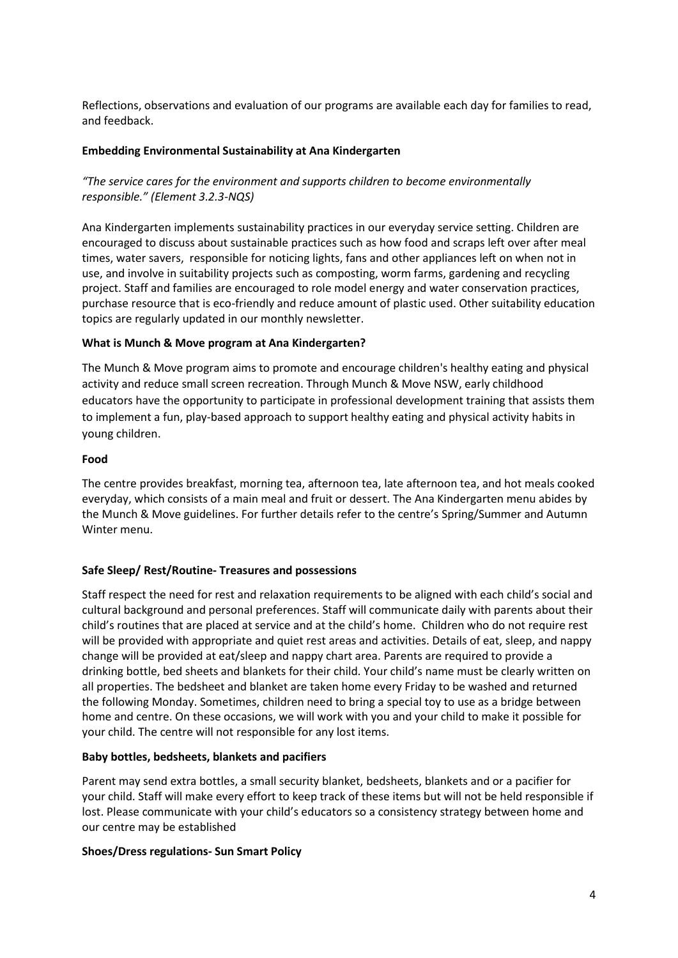Reflections, observations and evaluation of our programs are available each day for families to read, and feedback.

## **Embedding Environmental Sustainability at Ana Kindergarten**

# *"The service cares for the environment and supports children to become environmentally responsible." (Element 3.2.3-NQS)*

Ana Kindergarten implements sustainability practices in our everyday service setting. Children are encouraged to discuss about sustainable practices such as how food and scraps left over after meal times, water savers, responsible for noticing lights, fans and other appliances left on when not in use, and involve in suitability projects such as composting, worm farms, gardening and recycling project. Staff and families are encouraged to role model energy and water conservation practices, purchase resource that is eco-friendly and reduce amount of plastic used. Other suitability education topics are regularly updated in our monthly newsletter.

## **What is Munch & Move program at Ana Kindergarten?**

The Munch & Move program aims to promote and encourage children's healthy eating and physical activity and reduce small screen recreation. Through Munch & Move NSW, early childhood educators have the opportunity to participate in professional development training that assists them to implement a fun, play-based approach to support healthy eating and physical activity habits in young children.

## **Food**

The centre provides breakfast, morning tea, afternoon tea, late afternoon tea, and hot meals cooked everyday, which consists of a main meal and fruit or dessert. The Ana Kindergarten menu abides by the Munch & Move guidelines. For further details refer to the centre's Spring/Summer and Autumn Winter menu.

## **Safe Sleep/ Rest/Routine- Treasures and possessions**

Staff respect the need for rest and relaxation requirements to be aligned with each child's social and cultural background and personal preferences. Staff will communicate daily with parents about their child's routines that are placed at service and at the child's home. Children who do not require rest will be provided with appropriate and quiet rest areas and activities. Details of eat, sleep, and nappy change will be provided at eat/sleep and nappy chart area. Parents are required to provide a drinking bottle, bed sheets and blankets for their child. Your child's name must be clearly written on all properties. The bedsheet and blanket are taken home every Friday to be washed and returned the following Monday. Sometimes, children need to bring a special toy to use as a bridge between home and centre. On these occasions, we will work with you and your child to make it possible for your child. The centre will not responsible for any lost items.

# **Baby bottles, bedsheets, blankets and pacifiers**

Parent may send extra bottles, a small security blanket, bedsheets, blankets and or a pacifier for your child. Staff will make every effort to keep track of these items but will not be held responsible if lost. Please communicate with your child's educators so a consistency strategy between home and our centre may be established

# **Shoes/Dress regulations- Sun Smart Policy**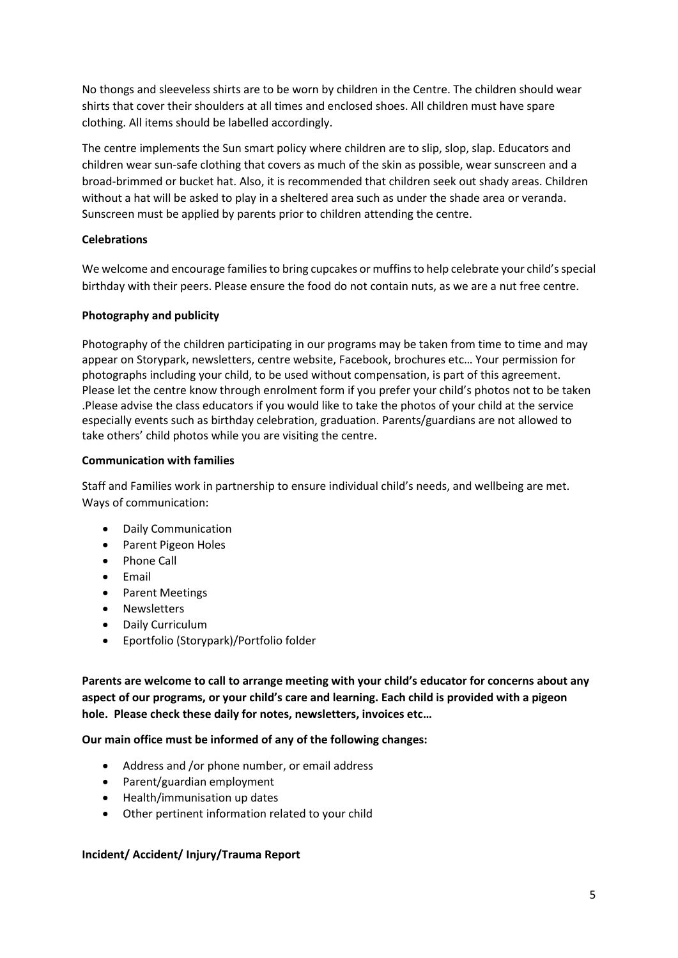No thongs and sleeveless shirts are to be worn by children in the Centre. The children should wear shirts that cover their shoulders at all times and enclosed shoes. All children must have spare clothing. All items should be labelled accordingly.

The centre implements the Sun smart policy where children are to slip, slop, slap. Educators and children wear sun-safe clothing that covers as much of the skin as possible, wear sunscreen and a broad-brimmed or bucket hat. Also, it is recommended that children seek out shady areas. Children without a hat will be asked to play in a sheltered area such as under the shade area or veranda. Sunscreen must be applied by parents prior to children attending the centre.

## **Celebrations**

We welcome and encourage families to bring cupcakes or muffins to help celebrate your child's special birthday with their peers. Please ensure the food do not contain nuts, as we are a nut free centre.

# **Photography and publicity**

Photography of the children participating in our programs may be taken from time to time and may appear on Storypark, newsletters, centre website, Facebook, brochures etc… Your permission for photographs including your child, to be used without compensation, is part of this agreement. Please let the centre know through enrolment form if you prefer your child's photos not to be taken .Please advise the class educators if you would like to take the photos of your child at the service especially events such as birthday celebration, graduation. Parents/guardians are not allowed to take others' child photos while you are visiting the centre.

## **Communication with families**

Staff and Families work in partnership to ensure individual child's needs, and wellbeing are met. Ways of communication:

- Daily Communication
- Parent Pigeon Holes
- Phone Call
- Email
- Parent Meetings
- Newsletters
- Daily Curriculum
- Eportfolio (Storypark)/Portfolio folder

**Parents are welcome to call to arrange meeting with your child's educator for concerns about any aspect of our programs, or your child's care and learning. Each child is provided with a pigeon hole. Please check these daily for notes, newsletters, invoices etc…**

## **Our main office must be informed of any of the following changes:**

- Address and /or phone number, or email address
- Parent/guardian employment
- Health/immunisation up dates
- Other pertinent information related to your child

## **Incident/ Accident/ Injury/Trauma Report**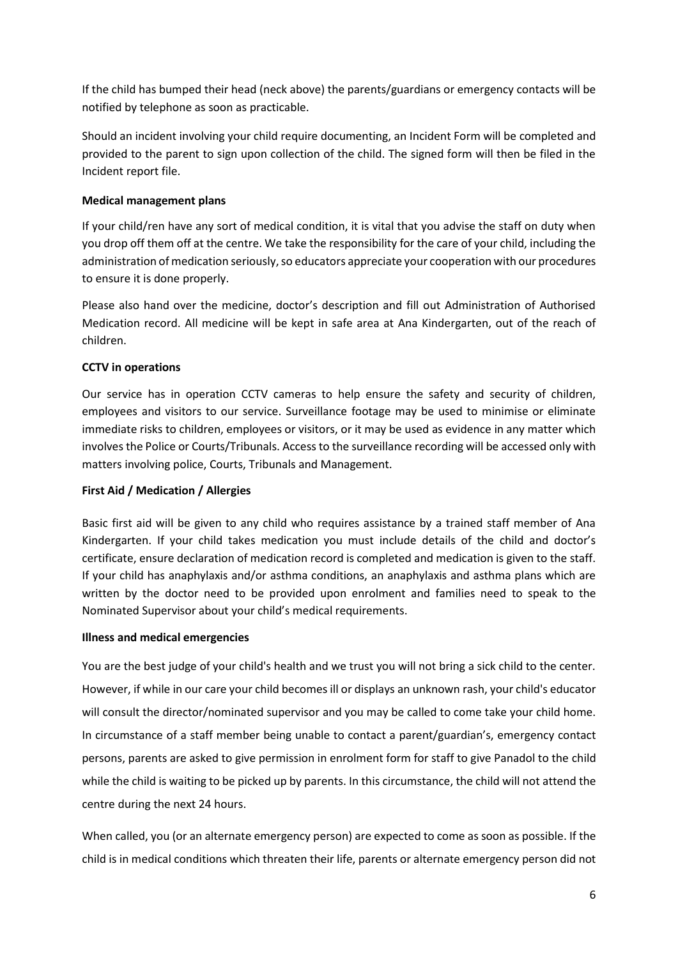If the child has bumped their head (neck above) the parents/guardians or emergency contacts will be notified by telephone as soon as practicable.

Should an incident involving your child require documenting, an Incident Form will be completed and provided to the parent to sign upon collection of the child. The signed form will then be filed in the Incident report file.

## **Medical management plans**

If your child/ren have any sort of medical condition, it is vital that you advise the staff on duty when you drop off them off at the centre. We take the responsibility for the care of your child, including the administration of medication seriously, so educators appreciate your cooperation with our procedures to ensure it is done properly.

Please also hand over the medicine, doctor's description and fill out Administration of Authorised Medication record. All medicine will be kept in safe area at Ana Kindergarten, out of the reach of children.

## **CCTV in operations**

Our service has in operation CCTV cameras to help ensure the safety and security of children, employees and visitors to our service. Surveillance footage may be used to minimise or eliminate immediate risks to children, employees or visitors, or it may be used as evidence in any matter which involves the Police or Courts/Tribunals. Access to the surveillance recording will be accessed only with matters involving police, Courts, Tribunals and Management.

# **First Aid / Medication / Allergies**

Basic first aid will be given to any child who requires assistance by a trained staff member of Ana Kindergarten. If your child takes medication you must include details of the child and doctor's certificate, ensure declaration of medication record is completed and medication is given to the staff. If your child has anaphylaxis and/or asthma conditions, an anaphylaxis and asthma plans which are written by the doctor need to be provided upon enrolment and families need to speak to the Nominated Supervisor about your child's medical requirements.

## **Illness and medical emergencies**

You are the best judge of your child's health and we trust you will not bring a sick child to the center. However, if while in our care your child becomes ill or displays an unknown rash, your child's educator will consult the director/nominated supervisor and you may be called to come take your child home. In circumstance of a staff member being unable to contact a parent/guardian's, emergency contact persons, parents are asked to give permission in enrolment form for staff to give Panadol to the child while the child is waiting to be picked up by parents. In this circumstance, the child will not attend the centre during the next 24 hours.

When called, you (or an alternate emergency person) are expected to come as soon as possible. If the child is in medical conditions which threaten their life, parents or alternate emergency person did not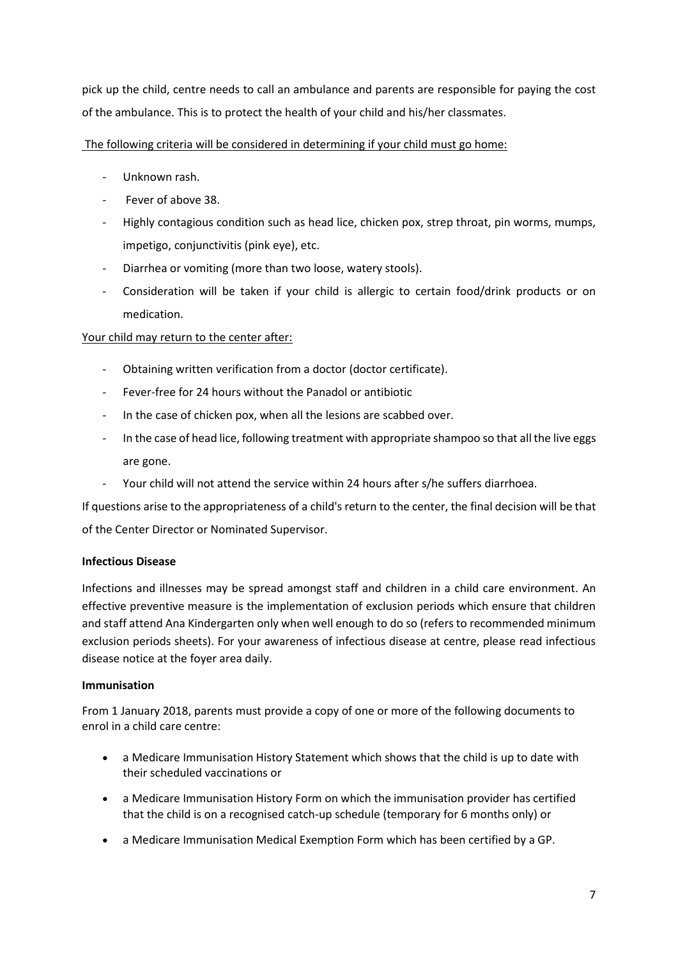pick up the child, centre needs to call an ambulance and parents are responsible for paying the cost of the ambulance. This is to protect the health of your child and his/her classmates.

## The following criteria will be considered in determining if your child must go home:

- Unknown rash.
- Fever of above 38.
- Highly contagious condition such as head lice, chicken pox, strep throat, pin worms, mumps, impetigo, conjunctivitis (pink eye), etc.
- Diarrhea or vomiting (more than two loose, watery stools).
- Consideration will be taken if your child is allergic to certain food/drink products or on medication.

# Your child may return to the center after:

- Obtaining written verification from a doctor (doctor certificate).
- Fever-free for 24 hours without the Panadol or antibiotic
- In the case of chicken pox, when all the lesions are scabbed over.
- In the case of head lice, following treatment with appropriate shampoo so that all the live eggs are gone.
- Your child will not attend the service within 24 hours after s/he suffers diarrhoea.

If questions arise to the appropriateness of a child's return to the center, the final decision will be that of the Center Director or Nominated Supervisor.

# **Infectious Disease**

Infections and illnesses may be spread amongst staff and children in a child care environment. An effective preventive measure is the implementation of exclusion periods which ensure that children and staff attend Ana Kindergarten only when well enough to do so (refers to recommended minimum exclusion periods sheets). For your awareness of infectious disease at centre, please read infectious disease notice at the foyer area daily.

# **Immunisation**

From 1 January 2018, parents must provide a copy of one or more of the following documents to enrol in a child care centre:

- a [Medicare Immunisation History Statement](http://www.health.nsw.gov.au/immunisation/Pages/childcare_qa.aspx) which shows that the child is up to date with their scheduled vaccinations or
- a [Medicare Immunisation History Form](https://www.humanservices.gov.au/health-professionals/forms/im013) on which the immunisation provider has certified that the child is on a recognised catch-up schedule (temporary for 6 months only) or
- a [Medicare Immunisation Medical Exemption Form](https://www.humanservices.gov.au/health-professionals/forms/im011) which has been certified by a GP.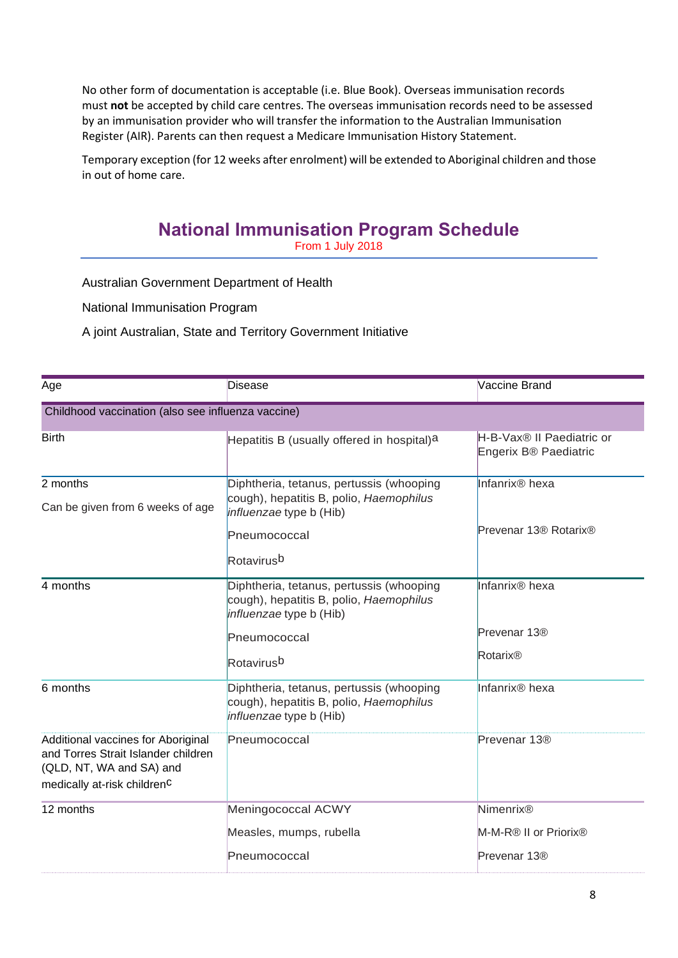No other form of documentation is acceptable (i.e. Blue Book). Overseas immunisation records must **not** be accepted by child care centres. The overseas immunisation records need to be assessed by an immunisation provider who will transfer the information to the Australian Immunisation Register (AIR). Parents can then request a Medicare Immunisation History Statement.

Temporary exception (for 12 weeks after enrolment) will be extended to Aboriginal children and those in out of home care.

# **National Immunisation Program Schedule**

From 1 July 2018

Australian Government Department of Health

National Immunisation Program

A joint Australian, State and Territory Government Initiative

| Age                                                                                                                                              | Disease                                                                                                        | Vaccine Brand                                                  |  |
|--------------------------------------------------------------------------------------------------------------------------------------------------|----------------------------------------------------------------------------------------------------------------|----------------------------------------------------------------|--|
| Childhood vaccination (also see influenza vaccine)                                                                                               |                                                                                                                |                                                                |  |
| <b>Birth</b>                                                                                                                                     | Hepatitis B (usually offered in hospital)a                                                                     | H-B-Vax <sup>®</sup> II Paediatric or<br>Engerix B® Paediatric |  |
| 2 months                                                                                                                                         | Diphtheria, tetanus, pertussis (whooping                                                                       | Infanrix <sup>®</sup> hexa                                     |  |
| Can be given from 6 weeks of age                                                                                                                 | cough), hepatitis B, polio, Haemophilus<br><i>influenzae</i> type b (Hib)                                      |                                                                |  |
|                                                                                                                                                  | Pneumococcal                                                                                                   | Prevenar 13 <sup>®</sup> Rotarix <sup>®</sup>                  |  |
|                                                                                                                                                  | Rotavirusb                                                                                                     |                                                                |  |
| 4 months                                                                                                                                         | Diphtheria, tetanus, pertussis (whooping<br>cough), hepatitis B, polio, Haemophilus<br>influenzae type b (Hib) | Infanrix <sup>®</sup> hexa                                     |  |
|                                                                                                                                                  | Pneumococcal                                                                                                   | Prevenar 13 <sup>®</sup>                                       |  |
|                                                                                                                                                  | Rotavirusb                                                                                                     | Rotarix®                                                       |  |
| 6 months                                                                                                                                         | Diphtheria, tetanus, pertussis (whooping<br>cough), hepatitis B, polio, Haemophilus<br>influenzae type b (Hib) | Infanrix <sup>®</sup> hexa                                     |  |
| Additional vaccines for Aboriginal<br>and Torres Strait Islander children<br>(QLD, NT, WA and SA) and<br>medically at-risk children <sup>c</sup> | Pneumococcal                                                                                                   | Prevenar 13 <sup>®</sup>                                       |  |
| 12 months                                                                                                                                        | Meningococcal ACWY                                                                                             | Nimenrix®                                                      |  |
|                                                                                                                                                  | Measles, mumps, rubella                                                                                        | M-M-R® II or Priorix®                                          |  |
|                                                                                                                                                  | Pneumococcal                                                                                                   | Prevenar 13 <sup>®</sup>                                       |  |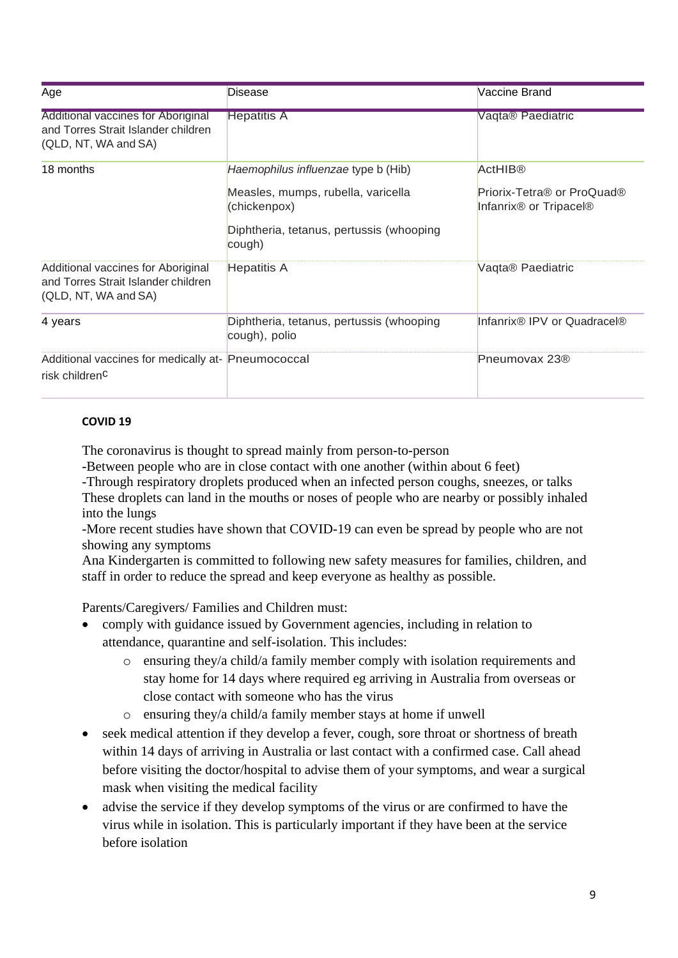| Age                                                                                                      | Disease                                                   | Vaccine Brand                                                                                        |
|----------------------------------------------------------------------------------------------------------|-----------------------------------------------------------|------------------------------------------------------------------------------------------------------|
| <b>Additional vaccines for Aboriginal</b><br>and Torres Strait Islander children<br>(QLD, NT, WA and SA) | <b>Hepatitis A</b>                                        | Vaqta® Paediatric                                                                                    |
| 18 months                                                                                                | Haemophilus influenzae type b (Hib)                       | <b>ActHIB®</b>                                                                                       |
|                                                                                                          | Measles, mumps, rubella, varicella<br>(chickenpox)        | Priorix-Tetra <sup>®</sup> or ProQuad <sup>®</sup><br>Infanrix <sup>®</sup> or Tripacel <sup>®</sup> |
|                                                                                                          | Diphtheria, tetanus, pertussis (whooping<br>cough)        |                                                                                                      |
| Additional vaccines for Aboriginal<br>and Torres Strait Islander children<br>(QLD, NT, WA and SA)        | <b>Hepatitis A</b>                                        | Vaqta® Paediatric                                                                                    |
| 4 years                                                                                                  | Diphtheria, tetanus, pertussis (whooping<br>cough), polio | Infanrix® IPV or Quadracel®                                                                          |
| Additional vaccines for medically at- Pneumococcal<br>risk children <sup>C</sup>                         |                                                           | Pneumovax 23 <sup>®</sup>                                                                            |

# **COVID 19**

The coronavirus is thought to spread mainly from person-to-person

-Between people who are in close contact with one another (within about 6 feet)

-Through respiratory droplets produced when an infected person coughs, sneezes, or talks These droplets can land in the mouths or noses of people who are nearby or possibly inhaled into the lungs

-More recent studies have shown that COVID-19 can even be spread by people who are not showing any symptoms

Ana Kindergarten is committed to following new safety measures for families, children, and staff in order to reduce the spread and keep everyone as healthy as possible.

Parents/Caregivers/ Families and Children must:

- comply with guidance issued by Government agencies, including in relation to attendance, quarantine and self-isolation. This includes:
	- o ensuring they/a child/a family member comply with isolation requirements and stay home for 14 days where required eg arriving in Australia from overseas or close contact with someone who has the virus
	- o ensuring they/a child/a family member stays at home if unwell
- seek medical attention if they develop a fever, cough, sore throat or shortness of breath within 14 days of arriving in Australia or last contact with a confirmed case. Call ahead before visiting the doctor/hospital to advise them of your symptoms, and wear a surgical mask when visiting the medical facility
- advise the service if they develop symptoms of the virus or are confirmed to have the virus while in isolation. This is particularly important if they have been at the service before isolation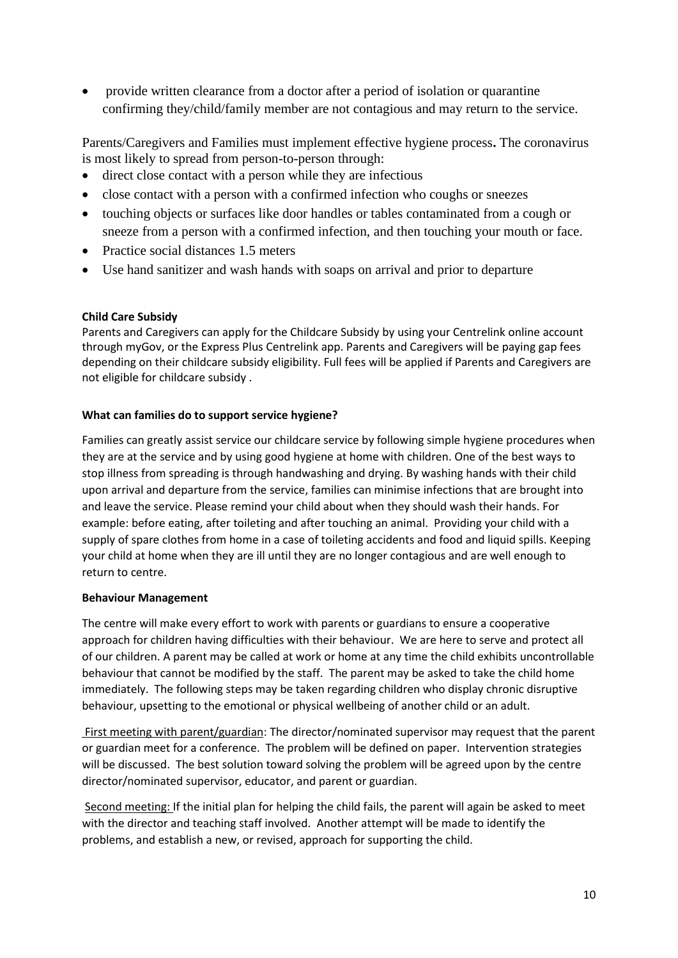• provide written clearance from a doctor after a period of isolation or quarantine confirming they/child/family member are not contagious and may return to the service.

Parents/Caregivers and Families must implement effective hygiene process**.** The coronavirus is most likely to spread from person-to-person through:

- direct close contact with a person while they are infectious
- close contact with a person with a confirmed infection who coughs or sneezes
- touching objects or surfaces like door handles or tables contaminated from a cough or sneeze from a person with a confirmed infection, and then touching your mouth or face.
- Practice social distances 1.5 meters
- Use hand sanitizer and wash hands with soaps on arrival and prior to departure

## **Child Care Subsidy**

Parents and Caregivers can apply for the Childcare Subsidy by using your Centrelink online account through myGov, or the Express Plus Centrelink app. Parents and Caregivers will be paying gap fees depending on their childcare subsidy eligibility. Full fees will be applied if Parents and Caregivers are not eligible for childcare subsidy .

## **What can families do to support service hygiene?**

Families can greatly assist service our childcare service by following simple hygiene procedures when they are at the service and by using good hygiene at home with children. One of the best ways to stop illness from spreading is through handwashing and drying. By washing hands with their child upon arrival and departure from the service, families can minimise infections that are brought into and leave the service. Please remind your child about when they should wash their hands. For example: before eating, after toileting and after touching an animal. Providing your child with a supply of spare clothes from home in a case of toileting accidents and food and liquid spills. Keeping your child at home when they are ill until they are no longer contagious and are well enough to return to centre.

## **Behaviour Management**

The centre will make every effort to work with parents or guardians to ensure a cooperative approach for children having difficulties with their behaviour. We are here to serve and protect all of our children. A parent may be called at work or home at any time the child exhibits uncontrollable behaviour that cannot be modified by the staff. The parent may be asked to take the child home immediately. The following steps may be taken regarding children who display chronic disruptive behaviour, upsetting to the emotional or physical wellbeing of another child or an adult.

First meeting with parent/guardian: The director/nominated supervisor may request that the parent or guardian meet for a conference. The problem will be defined on paper. Intervention strategies will be discussed. The best solution toward solving the problem will be agreed upon by the centre director/nominated supervisor, educator, and parent or guardian.

Second meeting: If the initial plan for helping the child fails, the parent will again be asked to meet with the director and teaching staff involved. Another attempt will be made to identify the problems, and establish a new, or revised, approach for supporting the child.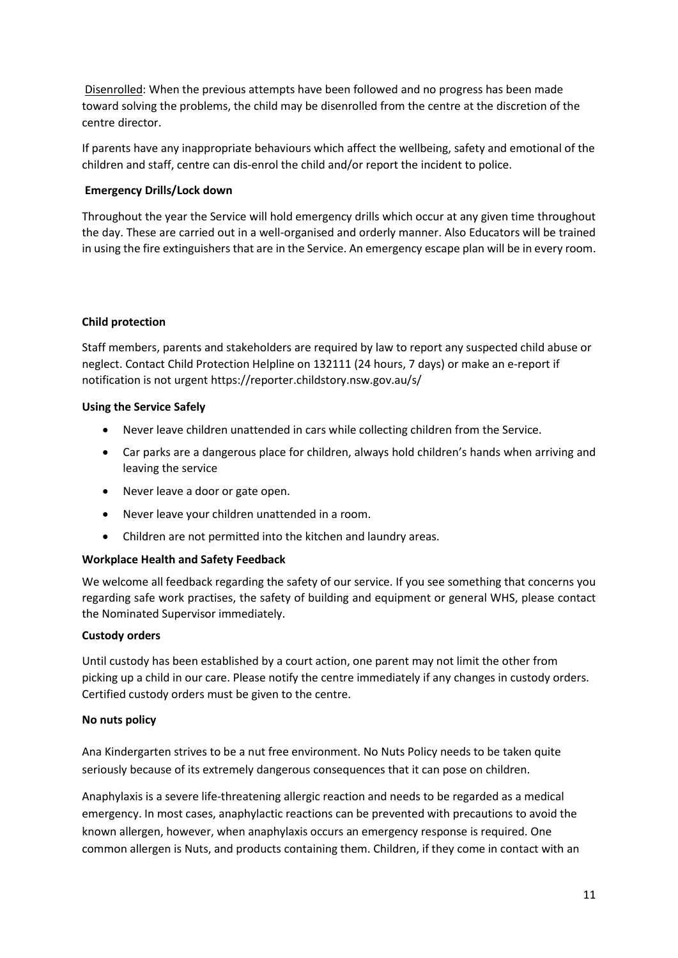Disenrolled: When the previous attempts have been followed and no progress has been made toward solving the problems, the child may be disenrolled from the centre at the discretion of the centre director.

If parents have any inappropriate behaviours which affect the wellbeing, safety and emotional of the children and staff, centre can dis-enrol the child and/or report the incident to police.

## **Emergency Drills/Lock down**

Throughout the year the Service will hold emergency drills which occur at any given time throughout the day. These are carried out in a well-organised and orderly manner. Also Educators will be trained in using the fire extinguishers that are in the Service. An emergency escape plan will be in every room.

## **Child protection**

Staff members, parents and stakeholders are required by law to report any suspected child abuse or neglect. Contact Child Protection Helpline on 132111 (24 hours, 7 days) or make an e-report if notification is not urgent https://reporter.childstory.nsw.gov.au/s/

## **Using the Service Safely**

- Never leave children unattended in cars while collecting children from the Service.
- Car parks are a dangerous place for children, always hold children's hands when arriving and leaving the service
- Never leave a door or gate open.
- Never leave your children unattended in a room.
- Children are not permitted into the kitchen and laundry areas.

## **Workplace Health and Safety Feedback**

We welcome all feedback regarding the safety of our service. If you see something that concerns you regarding safe work practises, the safety of building and equipment or general WHS, please contact the Nominated Supervisor immediately.

## **Custody orders**

Until custody has been established by a court action, one parent may not limit the other from picking up a child in our care. Please notify the centre immediately if any changes in custody orders. Certified custody orders must be given to the centre.

## **No nuts policy**

Ana Kindergarten strives to be a nut free environment. No Nuts Policy needs to be taken quite seriously because of its extremely dangerous consequences that it can pose on children.

Anaphylaxis is a severe life-threatening allergic reaction and needs to be regarded as a medical emergency. In most cases, anaphylactic reactions can be prevented with precautions to avoid the known allergen, however, when anaphylaxis occurs an emergency response is required. One common allergen is Nuts, and products containing them. Children, if they come in contact with an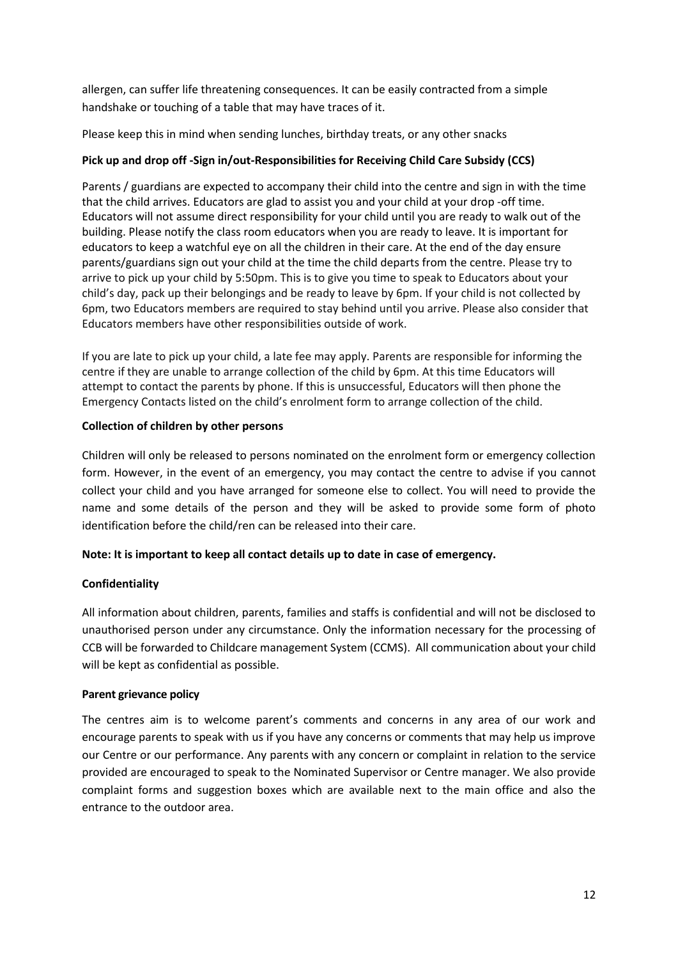allergen, can suffer life threatening consequences. It can be easily contracted from a simple handshake or touching of a table that may have traces of it.

Please keep this in mind when sending lunches, birthday treats, or any other snacks

# **Pick up and drop off -Sign in/out-Responsibilities for Receiving Child Care Subsidy (CCS)**

Parents / guardians are expected to accompany their child into the centre and sign in with the time that the child arrives. Educators are glad to assist you and your child at your drop -off time. Educators will not assume direct responsibility for your child until you are ready to walk out of the building. Please notify the class room educators when you are ready to leave. It is important for educators to keep a watchful eye on all the children in their care. At the end of the day ensure parents/guardians sign out your child at the time the child departs from the centre. Please try to arrive to pick up your child by 5:50pm. This is to give you time to speak to Educators about your child's day, pack up their belongings and be ready to leave by 6pm. If your child is not collected by 6pm, two Educators members are required to stay behind until you arrive. Please also consider that Educators members have other responsibilities outside of work.

If you are late to pick up your child, a late fee may apply. Parents are responsible for informing the centre if they are unable to arrange collection of the child by 6pm. At this time Educators will attempt to contact the parents by phone. If this is unsuccessful, Educators will then phone the Emergency Contacts listed on the child's enrolment form to arrange collection of the child.

# **Collection of children by other persons**

Children will only be released to persons nominated on the enrolment form or emergency collection form. However, in the event of an emergency, you may contact the centre to advise if you cannot collect your child and you have arranged for someone else to collect. You will need to provide the name and some details of the person and they will be asked to provide some form of photo identification before the child/ren can be released into their care.

# **Note: It is important to keep all contact details up to date in case of emergency.**

# **Confidentiality**

All information about children, parents, families and staffs is confidential and will not be disclosed to unauthorised person under any circumstance. Only the information necessary for the processing of CCB will be forwarded to Childcare management System (CCMS). All communication about your child will be kept as confidential as possible.

# **Parent grievance policy**

The centres aim is to welcome parent's comments and concerns in any area of our work and encourage parents to speak with us if you have any concerns or comments that may help us improve our Centre or our performance. Any parents with any concern or complaint in relation to the service provided are encouraged to speak to the Nominated Supervisor or Centre manager. We also provide complaint forms and suggestion boxes which are available next to the main office and also the entrance to the outdoor area.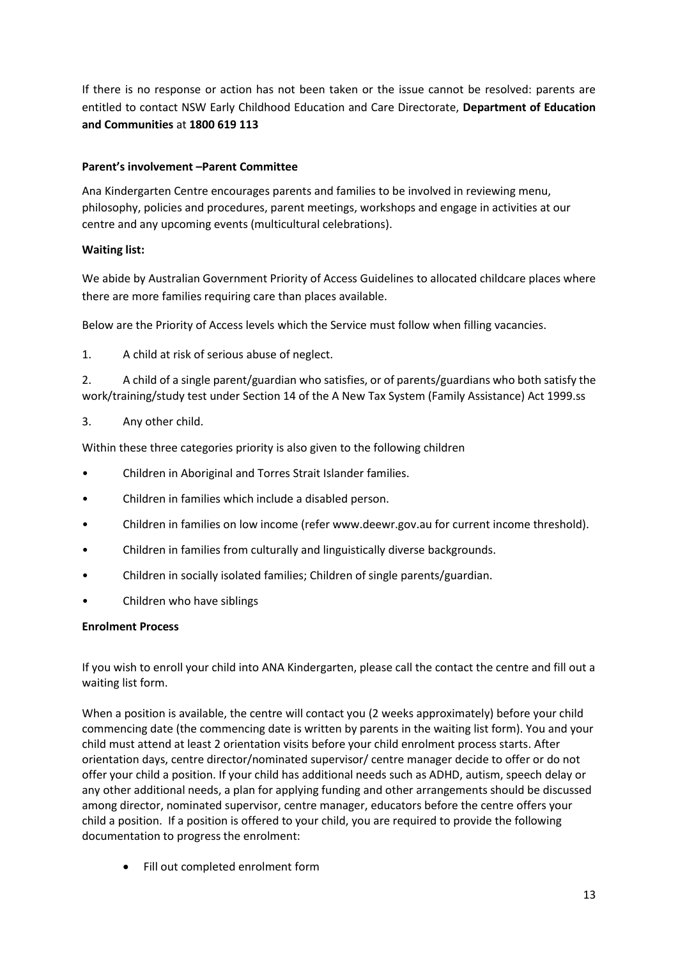If there is no response or action has not been taken or the issue cannot be resolved: parents are entitled to contact NSW Early Childhood Education and Care Directorate, **Department of Education and Communities** at **1800 619 113**

# **Parent's involvement –Parent Committee**

Ana Kindergarten Centre encourages parents and families to be involved in reviewing menu, philosophy, policies and procedures, parent meetings, workshops and engage in activities at our centre and any upcoming events (multicultural celebrations).

# **Waiting list:**

We abide by Australian Government Priority of Access Guidelines to allocated childcare places where there are more families requiring care than places available.

Below are the Priority of Access levels which the Service must follow when filling vacancies.

1. A child at risk of serious abuse of neglect.

2. A child of a single parent/guardian who satisfies, or of parents/guardians who both satisfy the work/training/study test under Section 14 of the A New Tax System (Family Assistance) Act 1999.ss

3. Any other child.

Within these three categories priority is also given to the following children

- Children in Aboriginal and Torres Strait Islander families.
- Children in families which include a disabled person.
- Children in families on low income (refer www.deewr.gov.au for current income threshold).
- Children in families from culturally and linguistically diverse backgrounds.
- Children in socially isolated families; Children of single parents/guardian.
- Children who have siblings

# **Enrolment Process**

If you wish to enroll your child into ANA Kindergarten, please call the contact the centre and fill out a waiting list form.

When a position is available, the centre will contact you (2 weeks approximately) before your child commencing date (the commencing date is written by parents in the waiting list form). You and your child must attend at least 2 orientation visits before your child enrolment process starts. After orientation days, centre director/nominated supervisor/ centre manager decide to offer or do not offer your child a position. If your child has additional needs such as ADHD, autism, speech delay or any other additional needs, a plan for applying funding and other arrangements should be discussed among director, nominated supervisor, centre manager, educators before the centre offers your child a position. If a position is offered to your child, you are required to provide the following documentation to progress the enrolment:

Fill out completed enrolment form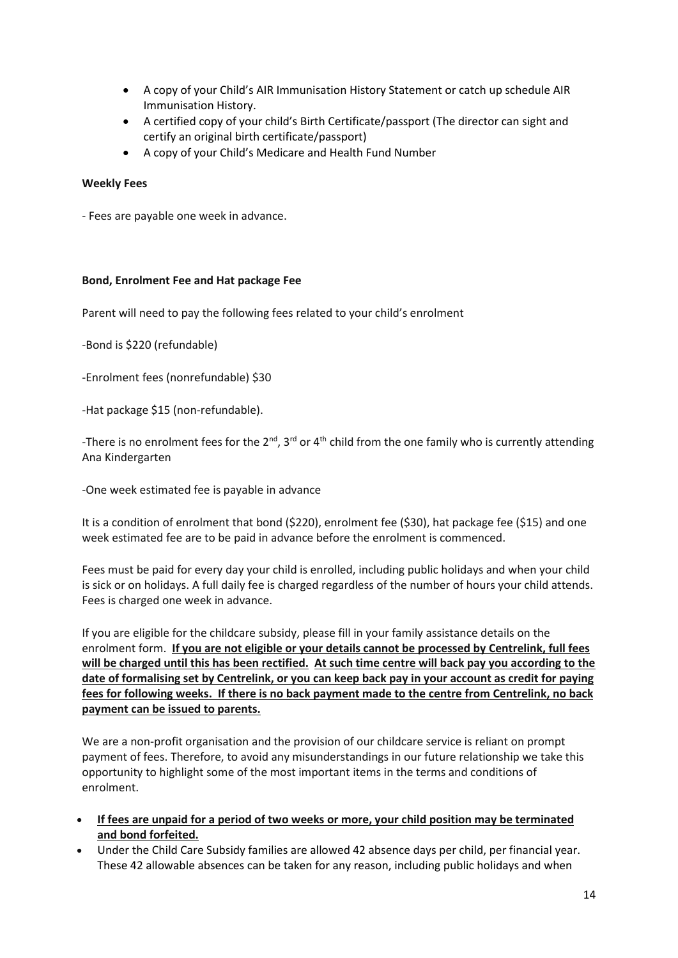- A copy of your Child's AIR Immunisation History Statement or catch up schedule AIR Immunisation History.
- A certified copy of your child's Birth Certificate/passport (The director can sight and certify an original birth certificate/passport)
- A copy of your Child's Medicare and Health Fund Number

## **Weekly Fees**

- Fees are payable one week in advance.

## **Bond, Enrolment Fee and Hat package Fee**

Parent will need to pay the following fees related to your child's enrolment

-Bond is \$220 (refundable)

-Enrolment fees (nonrefundable) \$30

-Hat package \$15 (non-refundable).

-There is no enrolment fees for the  $2^{nd}$ ,  $3^{rd}$  or  $4^{th}$  child from the one family who is currently attending Ana Kindergarten

-One week estimated fee is payable in advance

It is a condition of enrolment that bond (\$220), enrolment fee (\$30), hat package fee (\$15) and one week estimated fee are to be paid in advance before the enrolment is commenced.

Fees must be paid for every day your child is enrolled, including public holidays and when your child is sick or on holidays. A full daily fee is charged regardless of the number of hours your child attends. Fees is charged one week in advance.

If you are eligible for the childcare subsidy, please fill in your family assistance details on the enrolment form. **If you are not eligible or your details cannot be processed by Centrelink, full fees will be charged until this has been rectified. At such time centre will back pay you according to the date of formalising set by Centrelink, or you can keep back pay in your account as credit for paying fees for following weeks. If there is no back payment made to the centre from Centrelink, no back payment can be issued to parents.**

We are a non-profit organisation and the provision of our childcare service is reliant on prompt payment of fees. Therefore, to avoid any misunderstandings in our future relationship we take this opportunity to highlight some of the most important items in the terms and conditions of enrolment.

- **If fees are unpaid for a period of two weeks or more, your child position may be terminated and bond forfeited.**
- Under the Child Care Subsidy families are allowed 42 absence days per child, per financial year. These 42 allowable absences can be taken for any reason, including public holidays and when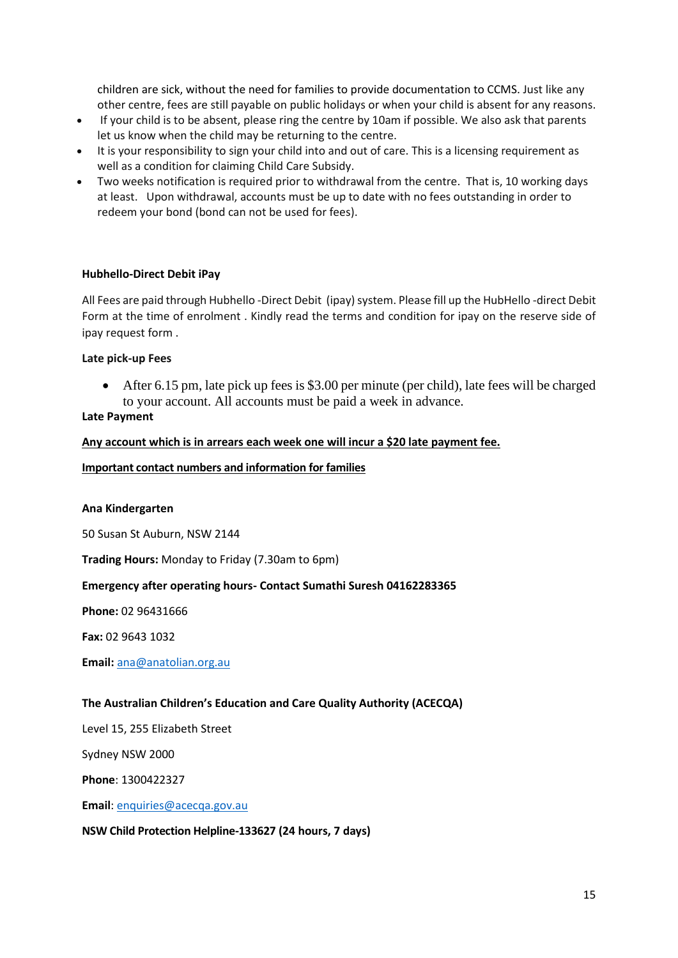children are sick, without the need for families to provide documentation to CCMS. Just like any other centre, fees are still payable on public holidays or when your child is absent for any reasons.

- If your child is to be absent, please ring the centre by 10am if possible. We also ask that parents let us know when the child may be returning to the centre.
- It is your responsibility to sign your child into and out of care. This is a licensing requirement as well as a condition for claiming Child Care Subsidy.
- Two weeks notification is required prior to withdrawal from the centre. That is, 10 working days at least. Upon withdrawal, accounts must be up to date with no fees outstanding in order to redeem your bond (bond can not be used for fees).

## **Hubhello-Direct Debit iPay**

All Fees are paid through Hubhello -Direct Debit (ipay) system. Please fill up the HubHello -direct Debit Form at the time of enrolment . Kindly read the terms and condition for ipay on the reserve side of ipay request form .

## **Late pick-up Fees**

• After 6.15 pm, late pick up fees is \$3.00 per minute (per child), late fees will be charged to your account. All accounts must be paid a week in advance.

## **Late Payment**

## **Any account which is in arrears each week one will incur a \$20 late payment fee.**

## **Important contact numbers and information for families**

## **Ana Kindergarten**

50 Susan St Auburn, NSW 2144

**Trading Hours:** Monday to Friday (7.30am to 6pm)

## **Emergency after operating hours- Contact Sumathi Suresh 04162283365**

**Phone:** 02 96431666

**Fax:** 02 9643 1032

**Email:** [ana@anatolian.org.au](mailto:ana@anatolian.org.au)

## **The Australian Children's Education and Care Quality Authority (ACECQA)**

Level 15, 255 Elizabeth Street

Sydney NSW 2000

**Phone**: 1300422327

**Email**[: enquiries@acecqa.gov.au](mailto:enquiries@acecqa.gov.au)

# **NSW Child Protection Helpline-133627 (24 hours, 7 days)**